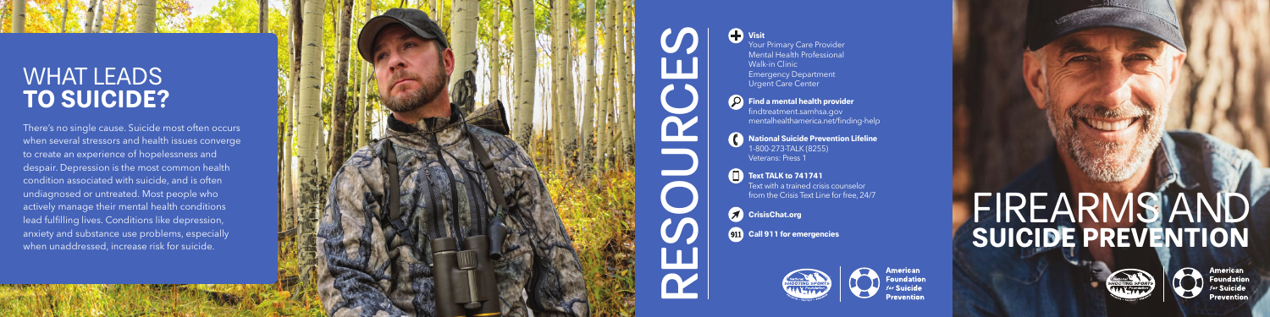## WHAT LEADS **TO SUICIDE?**

There's no single cause. Suicide most often occurs when several stressors and health issues converge to create an experience of hopelessness and despair. Depression is the most common health condition associated with suicide, and is often undiagnosed or untreated. Most people who actively manage their mental health conditions lead fulfilling lives. Conditions like depression, anxiety and substance use problems, especially when unaddressed, increase risk for suicide.



**P** Find a mental health provider findtreatment.samhsa.gov mentalhealthamerica.net/finding-help

# FIREARMS AND **SUICIDE PREVENTION**



Your Primary Care Provider Mental Health Professional Walk-in Clinic **Emergency Department** Urgent Care Center

**National Suicide Prevention Lifeline**  1-800-273-TALK (8255) Veterans: Press 1

**Text TALK to 741741** Text with a trained crisis counselor from the Crisis Text Line for free, 24/7

**CrisisChat.org** 

**911** Call 911 for emergencies